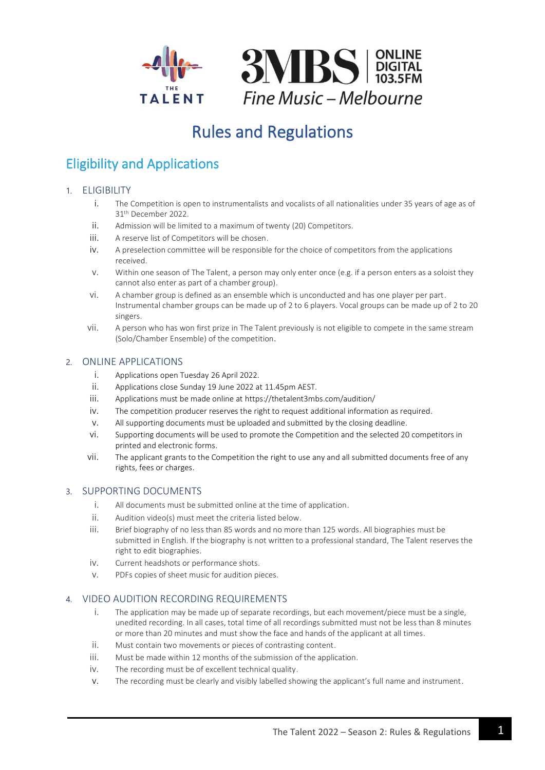

# Rules and Regulations

# Eligibility and Applications

### 1. ELIGIBILITY

- i. The Competition is open to instrumentalists and vocalists of all nationalities under 35 years of age as of 31th December 2022.
- ii. Admission will be limited to a maximum of twenty (20) Competitors.
- iii. A reserve list of Competitors will be chosen.
- iv. A preselection committee will be responsible for the choice of competitors from the applications received.
- v. Within one season of The Talent, a person may only enter once (e.g. if a person enters as a soloist they cannot also enter as part of a chamber group).
- vi. A chamber group is defined as an ensemble which is unconducted and has one player per part. Instrumental chamber groups can be made up of 2 to 6 players. Vocal groups can be made up of 2 to 20 singers.
- vii. A person who has won first prize in The Talent previously is not eligible to compete in the same stream (Solo/Chamber Ensemble) of the competition.

### 2. ONLINE APPLICATIONS

- i. Applications open Tuesday 26 April 2022.
- ii. Applications close Sunday 19 June 2022 at 11.45pm AEST.
- iii. Applications must be made online at https://thetalent3mbs.com/audition/
- iv. The competition producer reserves the right to request additional information as required.
- v. All supporting documents must be uploaded and submitted by the closing deadline.
- vi. Supporting documents will be used to promote the Competition and the selected 20 competitors in printed and electronic forms.
- vii. The applicant grants to the Competition the right to use any and all submitted documents free of any rights, fees or charges.

### 3. SUPPORTING DOCUMENTS

- i. All documents must be submitted online at the time of application.
- ii. Audition video(s) must meet the criteria listed below.
- iii. Brief biography of no less than 85 words and no more than 125 words. All biographies must be submitted in English. If the biography is not written to a professional standard, The Talent reserves the right to edit biographies.
- iv. Current headshots or performance shots.
- v. PDFs copies of sheet music for audition pieces.

# 4. VIDEO AUDITION RECORDING REQUIREMENTS

- i. The application may be made up of separate recordings, but each movement/piece must be a single, unedited recording. In all cases, total time of all recordings submitted must not be less than 8 minutes or more than 20 minutes and must show the face and hands of the applicant at all times.
- ii. Must contain two movements or pieces of contrasting content.
- iii. Must be made within 12 months of the submission of the application.
- iv. The recording must be of excellent technical quality.
- v. The recording must be clearly and visibly labelled showing the applicant's full name and instrument.